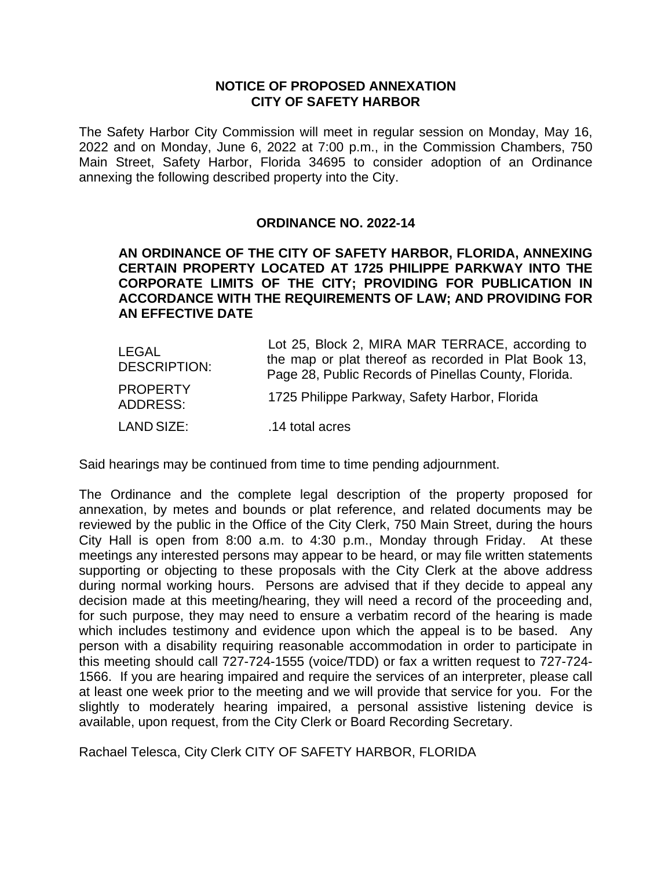## **NOTICE OF PROPOSED ANNEXATION CITY OF SAFETY HARBOR**

The Safety Harbor City Commission will meet in regular session on Monday, May 16, 2022 and on Monday, June 6, 2022 at 7:00 p.m., in the Commission Chambers, 750 Main Street, Safety Harbor, Florida 34695 to consider adoption of an Ordinance annexing the following described property into the City.

## **ORDINANCE NO. 2022-14**

## **AN ORDINANCE OF THE CITY OF SAFETY HARBOR, FLORIDA, ANNEXING CERTAIN PROPERTY LOCATED AT 1725 PHILIPPE PARKWAY INTO THE CORPORATE LIMITS OF THE CITY; PROVIDING FOR PUBLICATION IN ACCORDANCE WITH THE REQUIREMENTS OF LAW; AND PROVIDING FOR AN EFFECTIVE DATE**

| LEGAL<br><b>DESCRIPTION:</b>       | Lot 25, Block 2, MIRA MAR TERRACE, according to<br>the map or plat thereof as recorded in Plat Book 13,<br>Page 28, Public Records of Pinellas County, Florida. |
|------------------------------------|-----------------------------------------------------------------------------------------------------------------------------------------------------------------|
| <b>PROPERTY</b><br><b>ADDRESS:</b> | 1725 Philippe Parkway, Safety Harbor, Florida                                                                                                                   |
| LAND SIZE:                         | .14 total acres                                                                                                                                                 |

Said hearings may be continued from time to time pending adjournment.

The Ordinance and the complete legal description of the property proposed for annexation, by metes and bounds or plat reference, and related documents may be reviewed by the public in the Office of the City Clerk, 750 Main Street, during the hours City Hall is open from 8:00 a.m. to 4:30 p.m., Monday through Friday. At these meetings any interested persons may appear to be heard, or may file written statements supporting or objecting to these proposals with the City Clerk at the above address during normal working hours. Persons are advised that if they decide to appeal any decision made at this meeting/hearing, they will need a record of the proceeding and, for such purpose, they may need to ensure a verbatim record of the hearing is made which includes testimony and evidence upon which the appeal is to be based. Any person with a disability requiring reasonable accommodation in order to participate in this meeting should call 727-724-1555 (voice/TDD) or fax a written request to 727-724- 1566. If you are hearing impaired and require the services of an interpreter, please call at least one week prior to the meeting and we will provide that service for you. For the slightly to moderately hearing impaired, a personal assistive listening device is available, upon request, from the City Clerk or Board Recording Secretary.

Rachael Telesca, City Clerk CITY OF SAFETY HARBOR, FLORIDA